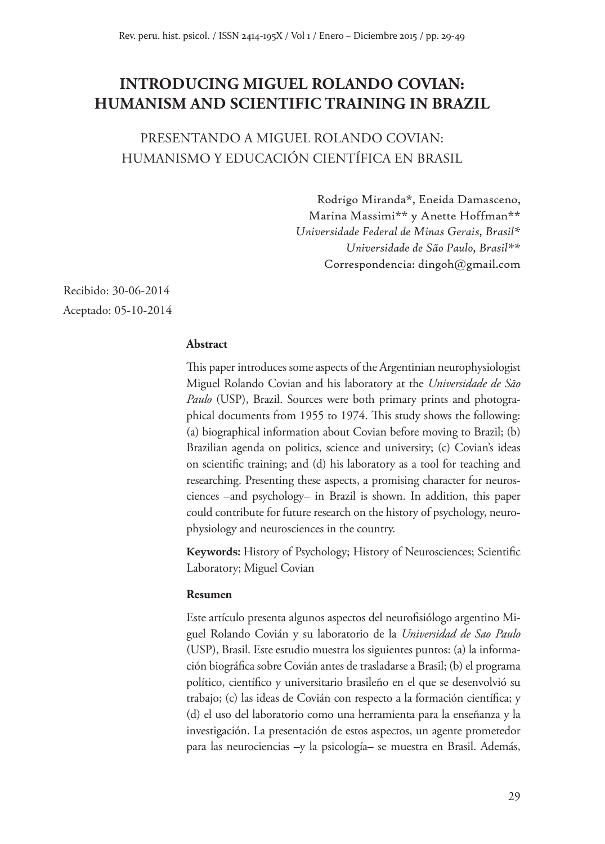# **INTRODUCING MIGUEL ROLANDO COVIAN: HUMANISM AND SCIENTIFIC TRAINING IN BRAZIL**

PRESENTANDO A MIGUEL ROLANDO COVIAN: HUMANISMO Y EDUCACIÓN CIENTÍFICA EN BRASIL

> Rodrigo Miranda\*, Eneida Damasceno, Marina Massimi\*\* y Anette Hoffman\*\* *Universidade Federal de Minas Gerais, Brasil\* Universidade de São Paulo, Brasil\*\** Correspondencia: dingoh@gmail.com

Recibido: 30-06-2014 Aceptado: 05-10-2014

#### **Abstract**

This paper introduces some aspects of the Argentinian neurophysiologist Miguel Rolando Covian and his laboratory at the *Universidade de São Paulo* (USP), Brazil. Sources were both primary prints and photographical documents from 1955 to 1974. This study shows the following: (a) biographical information about Covian before moving to Brazil; (b) Brazilian agenda on politics, science and university; (c) Covian's ideas on scientific training; and (d) his laboratory as a tool for teaching and researching. Presenting these aspects, a promising character for neurosciences –and psychology– in Brazil is shown. In addition, this paper could contribute for future research on the history of psychology, neurophysiology and neurosciences in the country.

**Keywords:** History of Psychology; History of Neurosciences; Scientific Laboratory; Miguel Covian

#### **Resumen**

Este artículo presenta algunos aspectos del neurofisiólogo argentino Miguel Rolando Covián y su laboratorio de la *Universidad de Sao Paulo* (USP), Brasil. Este estudio muestra los siguientes puntos: (a) la información biográfica sobre Covián antes de trasladarse a Brasil; (b) el programa político, científico y universitario brasileño en el que se desenvolvió su trabajo; (c) las ideas de Covián con respecto a la formación científica; y (d) el uso del laboratorio como una herramienta para la enseñanza y la investigación. La presentación de estos aspectos, un agente prometedor para las neurociencias –y la psicología– se muestra en Brasil. Además,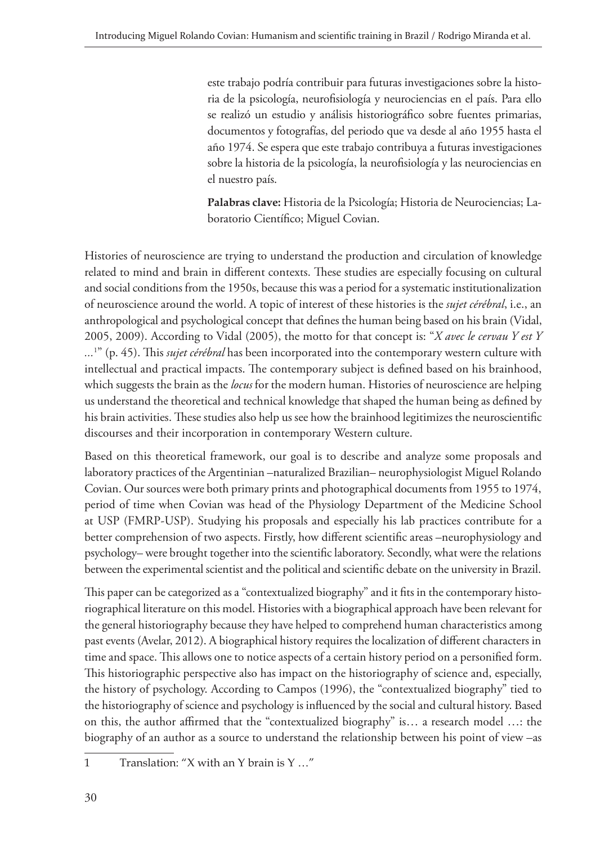este trabajo podría contribuir para futuras investigaciones sobre la historia de la psicología, neurofisiología y neurociencias en el país. Para ello se realizó un estudio y análisis historiográfico sobre fuentes primarias, documentos y fotografías, del periodo que va desde al año 1955 hasta el año 1974. Se espera que este trabajo contribuya a futuras investigaciones sobre la historia de la psicología, la neurofisiología y las neurociencias en el nuestro país.

**Palabras clave:** Historia de la Psicología; Historia de Neurociencias; Laboratorio Científico; Miguel Covian.

Histories of neuroscience are trying to understand the production and circulation of knowledge related to mind and brain in different contexts. These studies are especially focusing on cultural and social conditions from the 1950s, because this was a period for a systematic institutionalization of neuroscience around the world. A topic of interest of these histories is the *sujet cérébral*, i.e., an anthropological and psychological concept that defines the human being based on his brain (Vidal, 2005, 2009). According to Vidal (2005), the motto for that concept is: "*X avec le cervau Y est Y ...*<sup>1</sup> " (p. 45). This *sujet cérébral* has been incorporated into the contemporary western culture with intellectual and practical impacts. The contemporary subject is defined based on his brainhood, which suggests the brain as the *locus* for the modern human. Histories of neuroscience are helping us understand the theoretical and technical knowledge that shaped the human being as defined by his brain activities. These studies also help us see how the brainhood legitimizes the neuroscientific discourses and their incorporation in contemporary Western culture.

Based on this theoretical framework, our goal is to describe and analyze some proposals and laboratory practices of the Argentinian –naturalized Brazilian– neurophysiologist Miguel Rolando Covian. Our sources were both primary prints and photographical documents from 1955 to 1974, period of time when Covian was head of the Physiology Department of the Medicine School at USP (FMRP-USP). Studying his proposals and especially his lab practices contribute for a better comprehension of two aspects. Firstly, how different scientific areas –neurophysiology and psychology– were brought together into the scientific laboratory. Secondly, what were the relations between the experimental scientist and the political and scientific debate on the university in Brazil.

This paper can be categorized as a "contextualized biography" and it fits in the contemporary historiographical literature on this model. Histories with a biographical approach have been relevant for the general historiography because they have helped to comprehend human characteristics among past events (Avelar, 2012). A biographical history requires the localization of different characters in time and space. This allows one to notice aspects of a certain history period on a personified form. This historiographic perspective also has impact on the historiography of science and, especially, the history of psychology. According to Campos (1996), the "contextualized biography" tied to the historiography of science and psychology is influenced by the social and cultural history. Based on this, the author affirmed that the "contextualized biography" is… a research model …: the biography of an author as a source to understand the relationship between his point of view –as

<sup>1</sup> Translation: "X with an Y brain is Y …"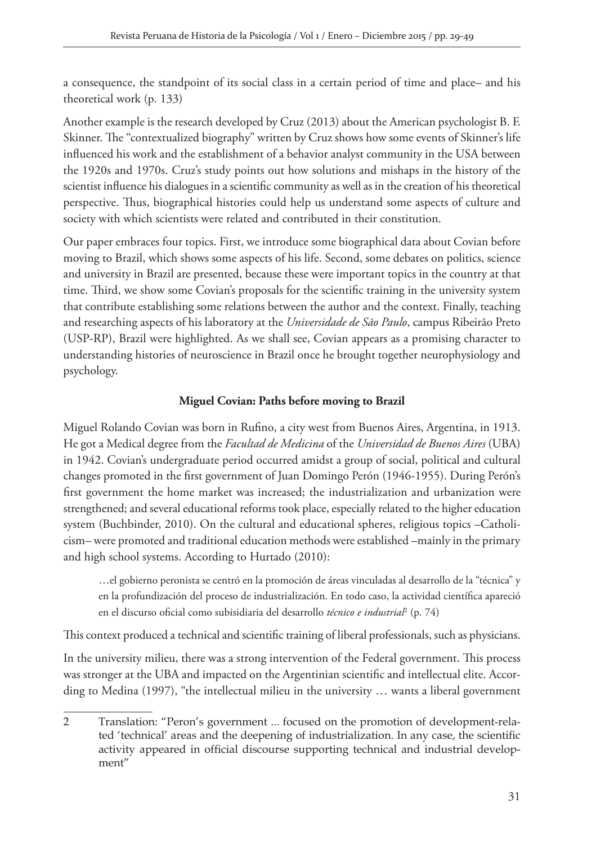a consequence, the standpoint of its social class in a certain period of time and place– and his theoretical work (p. 133)

Another example is the research developed by Cruz (2013) about the American psychologist B. F. Skinner. The "contextualized biography" written by Cruz shows how some events of Skinner's life influenced his work and the establishment of a behavior analyst community in the USA between the 1920s and 1970s. Cruz's study points out how solutions and mishaps in the history of the scientist influence his dialogues in a scientific community as well as in the creation of his theoretical perspective. Thus, biographical histories could help us understand some aspects of culture and society with which scientists were related and contributed in their constitution.

Our paper embraces four topics. First, we introduce some biographical data about Covian before moving to Brazil, which shows some aspects of his life. Second, some debates on politics, science and university in Brazil are presented, because these were important topics in the country at that time. Third, we show some Covian's proposals for the scientific training in the university system that contribute establishing some relations between the author and the context. Finally, teaching and researching aspects of his laboratory at the *Universidade de São Paulo*, campus Ribeirão Preto (USP-RP), Brazil were highlighted. As we shall see, Covian appears as a promising character to understanding histories of neuroscience in Brazil once he brought together neurophysiology and psychology.

## **Miguel Covian: Paths before moving to Brazil**

Miguel Rolando Covian was born in Rufino, a city west from Buenos Aires, Argentina, in 1913. He got a Medical degree from the *Facultad de Medicina* of the *Universidad de Buenos Aires* (UBA) in 1942. Covian's undergraduate period occurred amidst a group of social, political and cultural changes promoted in the first government of Juan Domingo Perón (1946-1955). During Perón's first government the home market was increased; the industrialization and urbanization were strengthened; and several educational reforms took place, especially related to the higher education system (Buchbinder, 2010). On the cultural and educational spheres, religious topics –Catholicism– were promoted and traditional education methods were established –mainly in the primary and high school systems. According to Hurtado (2010):

…el gobierno peronista se centró en la promoción de áreas vinculadas al desarrollo de la "técnica" y en la profundización del proceso de industrialización. En todo caso, la actividad científica apareció en el discurso oficial como subisidiaria del desarrollo técnico e industrial<sup>p</sup> (p. 74)

This context produced a technical and scientific training of liberal professionals, such as physicians.

In the university milieu, there was a strong intervention of the Federal government. This process was stronger at the UBA and impacted on the Argentinian scientific and intellectual elite. According to Medina (1997), "the intellectual milieu in the university … wants a liberal government

<sup>2</sup> Translation: "Peron's government ... focused on the promotion of development-related 'technical' areas and the deepening of industrialization. In any case, the scientific activity appeared in official discourse supporting technical and industrial development"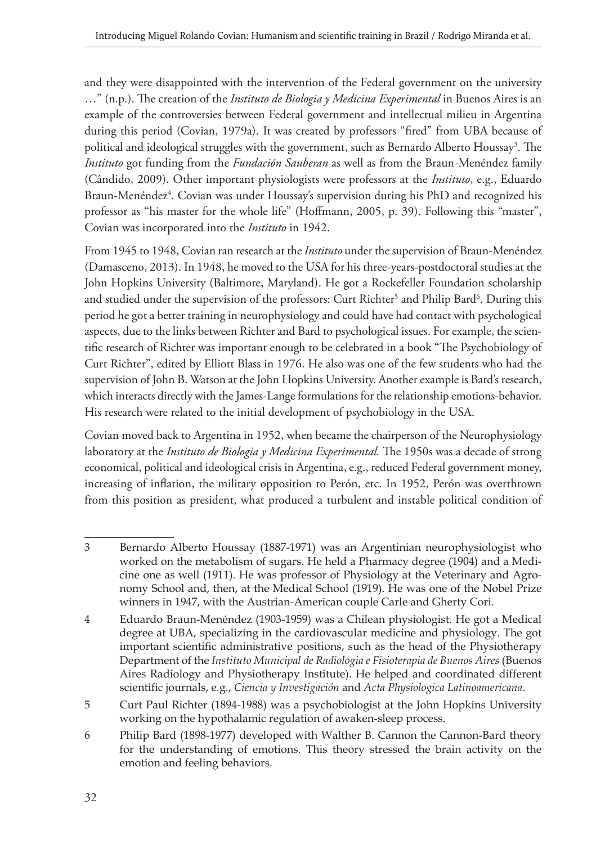and they were disappointed with the intervention of the Federal government on the university …" (n.p.). The creation of the *Instituto de Biologia y Medicina Experimental* in Buenos Aires is an example of the controversies between Federal government and intellectual milieu in Argentina during this period (Covian, 1979a). It was created by professors "fired" from UBA because of political and ideological struggles with the government, such as Bernardo Alberto Houssay3 . The *Instituto* got funding from the *Fundación Sauberan* as well as from the Braun-Menéndez family (Cândido, 2009). Other important physiologists were professors at the *Instituto*, e.g., Eduardo Braun-Menéndez<sup>4</sup>. Covian was under Houssay's supervision during his PhD and recognized his professor as "his master for the whole life" (Hoffmann, 2005, p. 39). Following this "master", Covian was incorporated into the *Instituto* in 1942.

From 1945 to 1948, Covian ran research at the *Instituto* under the supervision of Braun-Menéndez (Damasceno, 2013). In 1948, he moved to the USA for his three-years-postdoctoral studies at the John Hopkins University (Baltimore, Maryland). He got a Rockefeller Foundation scholarship and studied under the supervision of the professors: Curt Richter<sup>5</sup> and Philip Bard<sup>6</sup>. During this period he got a better training in neurophysiology and could have had contact with psychological aspects, due to the links between Richter and Bard to psychological issues. For example, the scientific research of Richter was important enough to be celebrated in a book "The Psychobiology of Curt Richter", edited by Elliott Blass in 1976. He also was one of the few students who had the supervision of John B. Watson at the John Hopkins University. Another example is Bard's research, which interacts directly with the James-Lange formulations for the relationship emotions-behavior. His research were related to the initial development of psychobiology in the USA.

Covian moved back to Argentina in 1952, when became the chairperson of the Neurophysiology laboratory at the *Instituto de Biologia y Medicina Experimental.* The 1950s was a decade of strong economical, political and ideological crisis in Argentina, e.g., reduced Federal government money, increasing of inflation, the military opposition to Perón, etc. In 1952, Perón was overthrown from this position as president, what produced a turbulent and instable political condition of

<sup>3</sup> Bernardo Alberto Houssay (1887-1971) was an Argentinian neurophysiologist who worked on the metabolism of sugars. He held a Pharmacy degree (1904) and a Medicine one as well (1911). He was professor of Physiology at the Veterinary and Agronomy School and, then, at the Medical School (1919). He was one of the Nobel Prize winners in 1947, with the Austrian-American couple Carle and Gherty Cori.

<sup>4</sup> Eduardo Braun-Menéndez (1903-1959) was a Chilean physiologist. He got a Medical degree at UBA, specializing in the cardiovascular medicine and physiology. The got important scientific administrative positions, such as the head of the Physiotherapy Department of the *Instituto Municipal de Radiologia e Fisioterapia de Buenos Aires* (Buenos Aires Radiology and Physiotherapy Institute). He helped and coordinated different scientific journals, e.g., *Ciencia y Investigación* and *Acta Physiologica Latinoamericana*.

<sup>5</sup> Curt Paul Richter (1894-1988) was a psychobiologist at the John Hopkins University working on the hypothalamic regulation of awaken-sleep process.

<sup>6</sup> Philip Bard (1898-1977) developed with Walther B. Cannon the Cannon-Bard theory for the understanding of emotions. This theory stressed the brain activity on the emotion and feeling behaviors.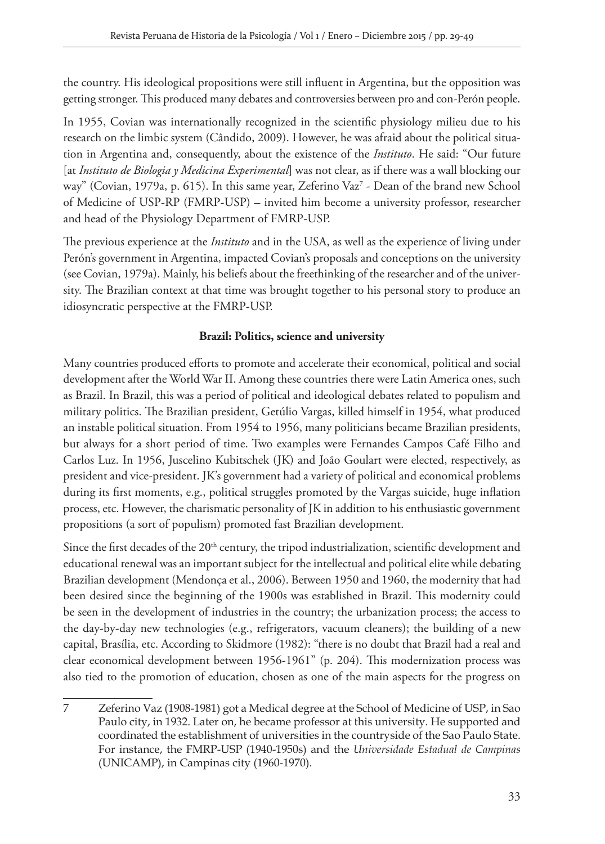the country. His ideological propositions were still influent in Argentina, but the opposition was getting stronger. This produced many debates and controversies between pro and con-Perón people.

In 1955, Covian was internationally recognized in the scientific physiology milieu due to his research on the limbic system (Cândido, 2009). However, he was afraid about the political situation in Argentina and, consequently, about the existence of the *Instituto*. He said: "Our future [at *Instituto de Biologia y Medicina Experimental*] was not clear, as if there was a wall blocking our way" (Covian, 1979a, p. 615). In this same year, Zeferino Vaz<sup>7</sup> - Dean of the brand new School of Medicine of USP-RP (FMRP-USP) – invited him become a university professor, researcher and head of the Physiology Department of FMRP-USP.

The previous experience at the *Instituto* and in the USA, as well as the experience of living under Perón's government in Argentina, impacted Covian's proposals and conceptions on the university (see Covian, 1979a). Mainly, his beliefs about the freethinking of the researcher and of the university. The Brazilian context at that time was brought together to his personal story to produce an idiosyncratic perspective at the FMRP-USP.

## **Brazil: Politics, science and university**

Many countries produced efforts to promote and accelerate their economical, political and social development after the World War II. Among these countries there were Latin America ones, such as Brazil. In Brazil, this was a period of political and ideological debates related to populism and military politics. The Brazilian president, Getúlio Vargas, killed himself in 1954, what produced an instable political situation. From 1954 to 1956, many politicians became Brazilian presidents, but always for a short period of time. Two examples were Fernandes Campos Café Filho and Carlos Luz. In 1956, Juscelino Kubitschek (JK) and João Goulart were elected, respectively, as president and vice-president. JK's government had a variety of political and economical problems during its first moments, e.g., political struggles promoted by the Vargas suicide, huge inflation process, etc. However, the charismatic personality of JK in addition to his enthusiastic government propositions (a sort of populism) promoted fast Brazilian development.

Since the first decades of the 20<sup>th</sup> century, the tripod industrialization, scientific development and educational renewal was an important subject for the intellectual and political elite while debating Brazilian development (Mendonça et al., 2006). Between 1950 and 1960, the modernity that had been desired since the beginning of the 1900s was established in Brazil. This modernity could be seen in the development of industries in the country; the urbanization process; the access to the day-by-day new technologies (e.g., refrigerators, vacuum cleaners); the building of a new capital, Brasília, etc. According to Skidmore (1982): "there is no doubt that Brazil had a real and clear economical development between 1956-1961" (p. 204). This modernization process was also tied to the promotion of education, chosen as one of the main aspects for the progress on

<sup>7</sup> Zeferino Vaz (1908-1981) got a Medical degree at the School of Medicine of USP, in Sao Paulo city, in 1932. Later on, he became professor at this university. He supported and coordinated the establishment of universities in the countryside of the Sao Paulo State. For instance, the FMRP-USP (1940-1950s) and the *Universidade Estadual de Campinas* (UNICAMP), in Campinas city (1960-1970).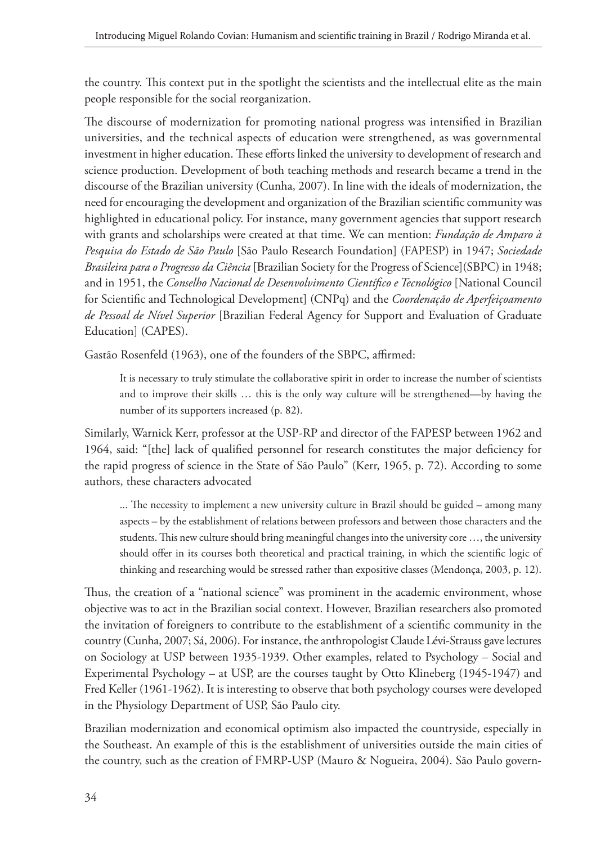the country. This context put in the spotlight the scientists and the intellectual elite as the main people responsible for the social reorganization.

The discourse of modernization for promoting national progress was intensified in Brazilian universities, and the technical aspects of education were strengthened, as was governmental investment in higher education. These efforts linked the university to development of research and science production. Development of both teaching methods and research became a trend in the discourse of the Brazilian university (Cunha, 2007). In line with the ideals of modernization, the need for encouraging the development and organization of the Brazilian scientific community was highlighted in educational policy. For instance, many government agencies that support research with grants and scholarships were created at that time. We can mention: *Fundação de Amparo à Pesquisa do Estado de São Paulo* [São Paulo Research Foundation] (FAPESP) in 1947; *Sociedade Brasileira para o Progresso da Ciência* [Brazilian Society for the Progress of Science](SBPC) in 1948; and in 1951, the *Conselho Nacional de Desenvolvimento Científico e Tecnológico* [National Council for Scientific and Technological Development] (CNPq) and the *Coordenação de Aperfeiçoamento de Pessoal de Nível Superior* [Brazilian Federal Agency for Support and Evaluation of Graduate Education] (CAPES).

Gastão Rosenfeld (1963), one of the founders of the SBPC, affirmed:

It is necessary to truly stimulate the collaborative spirit in order to increase the number of scientists and to improve their skills … this is the only way culture will be strengthened—by having the number of its supporters increased (p. 82).

Similarly, Warnick Kerr, professor at the USP-RP and director of the FAPESP between 1962 and 1964, said: "[the] lack of qualified personnel for research constitutes the major deficiency for the rapid progress of science in the State of São Paulo" (Kerr, 1965, p. 72). According to some authors, these characters advocated

... The necessity to implement a new university culture in Brazil should be guided – among many aspects – by the establishment of relations between professors and between those characters and the students. This new culture should bring meaningful changes into the university core …, the university should offer in its courses both theoretical and practical training, in which the scientific logic of thinking and researching would be stressed rather than expositive classes (Mendonça, 2003, p. 12).

Thus, the creation of a "national science" was prominent in the academic environment, whose objective was to act in the Brazilian social context. However, Brazilian researchers also promoted the invitation of foreigners to contribute to the establishment of a scientific community in the country (Cunha, 2007; Sá, 2006). For instance, the anthropologist Claude Lévi-Strauss gave lectures on Sociology at USP between 1935-1939. Other examples, related to Psychology – Social and Experimental Psychology – at USP, are the courses taught by Otto Klineberg (1945-1947) and Fred Keller (1961-1962). It is interesting to observe that both psychology courses were developed in the Physiology Department of USP, São Paulo city.

Brazilian modernization and economical optimism also impacted the countryside, especially in the Southeast. An example of this is the establishment of universities outside the main cities of the country, such as the creation of FMRP-USP (Mauro & Nogueira, 2004). São Paulo govern-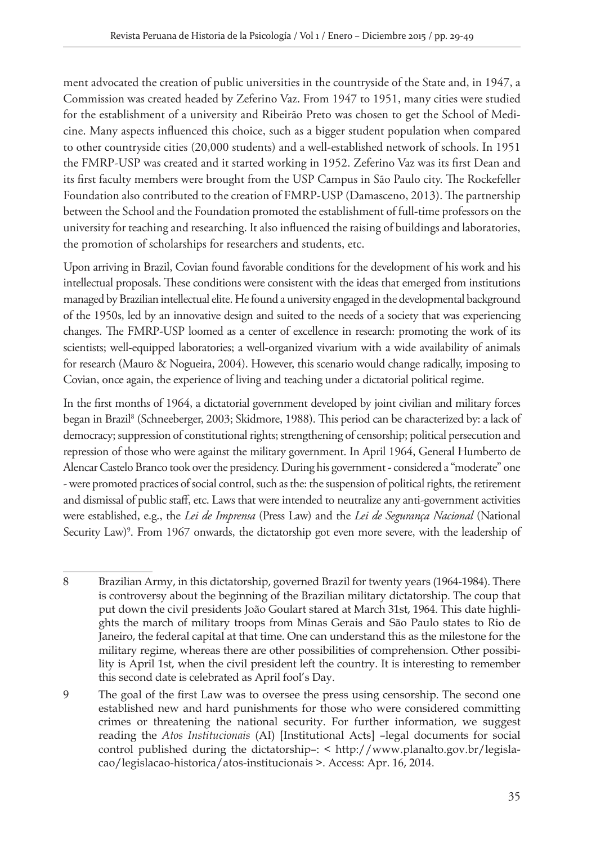ment advocated the creation of public universities in the countryside of the State and, in 1947, a Commission was created headed by Zeferino Vaz. From 1947 to 1951, many cities were studied for the establishment of a university and Ribeirão Preto was chosen to get the School of Medicine. Many aspects influenced this choice, such as a bigger student population when compared to other countryside cities (20,000 students) and a well-established network of schools. In 1951 the FMRP-USP was created and it started working in 1952. Zeferino Vaz was its first Dean and its first faculty members were brought from the USP Campus in São Paulo city. The Rockefeller Foundation also contributed to the creation of FMRP-USP (Damasceno, 2013). The partnership between the School and the Foundation promoted the establishment of full-time professors on the university for teaching and researching. It also influenced the raising of buildings and laboratories, the promotion of scholarships for researchers and students, etc.

Upon arriving in Brazil, Covian found favorable conditions for the development of his work and his intellectual proposals. These conditions were consistent with the ideas that emerged from institutions managed by Brazilian intellectual elite. He found a university engaged in the developmental background of the 1950s, led by an innovative design and suited to the needs of a society that was experiencing changes. The FMRP-USP loomed as a center of excellence in research: promoting the work of its scientists; well-equipped laboratories; a well-organized vivarium with a wide availability of animals for research (Mauro & Nogueira, 2004). However, this scenario would change radically, imposing to Covian, once again, the experience of living and teaching under a dictatorial political regime.

In the first months of 1964, a dictatorial government developed by joint civilian and military forces began in Brazil<sup>8</sup> (Schneeberger, 2003; Skidmore, 1988). This period can be characterized by: a lack of democracy; suppression of constitutional rights; strengthening of censorship; political persecution and repression of those who were against the military government. In April 1964, General Humberto de Alencar Castelo Branco took over the presidency. During his government - considered a "moderate" one - were promoted practices of social control, such as the: the suspension of political rights, the retirement and dismissal of public staff, etc. Laws that were intended to neutralize any anti-government activities were established, e.g., the *Lei de Imprensa* (Press Law) and the *Lei de Segurança Nacional* (National Security Law)<sup>9</sup>. From 1967 onwards, the dictatorship got even more severe, with the leadership of

<sup>8</sup> Brazilian Army, in this dictatorship, governed Brazil for twenty years (1964-1984). There is controversy about the beginning of the Brazilian military dictatorship. The coup that put down the civil presidents João Goulart stared at March 31st, 1964. This date highlights the march of military troops from Minas Gerais and São Paulo states to Rio de Janeiro, the federal capital at that time. One can understand this as the milestone for the military regime, whereas there are other possibilities of comprehension. Other possibility is April 1st, when the civil president left the country. It is interesting to remember this second date is celebrated as April fool's Day.

<sup>9</sup> The goal of the first Law was to oversee the press using censorship. The second one established new and hard punishments for those who were considered committing crimes or threatening the national security. For further information, we suggest reading the *Atos Institucionais* (AI) [Institutional Acts] –legal documents for social control published during the dictatorship–: < http://www.planalto.gov.br/legislacao/legislacao-historica/atos-institucionais >. Access: Apr. 16, 2014.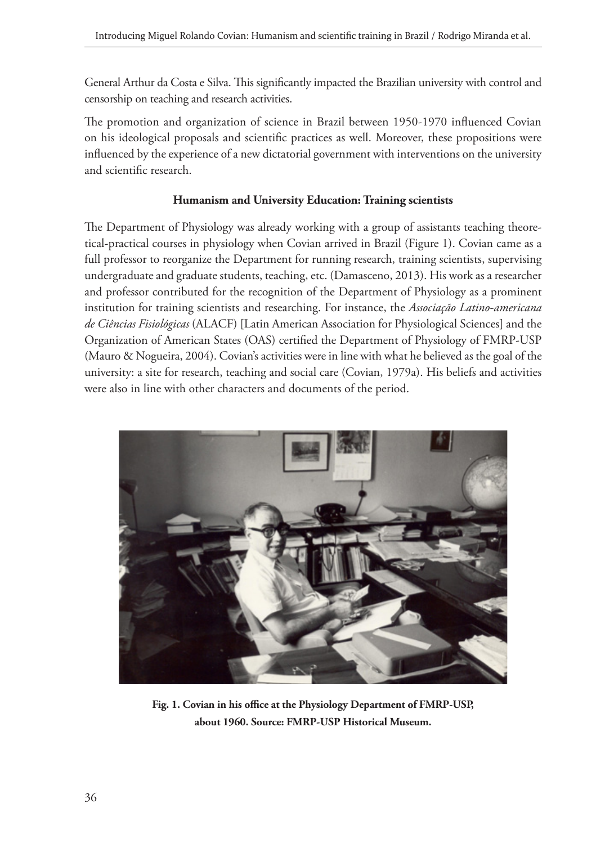General Arthur da Costa e Silva. This significantly impacted the Brazilian university with control and censorship on teaching and research activities.

The promotion and organization of science in Brazil between 1950-1970 influenced Covian on his ideological proposals and scientific practices as well. Moreover, these propositions were influenced by the experience of a new dictatorial government with interventions on the university and scientific research.

#### **Humanism and University Education: Training scientists**

The Department of Physiology was already working with a group of assistants teaching theoretical-practical courses in physiology when Covian arrived in Brazil (Figure 1). Covian came as a full professor to reorganize the Department for running research, training scientists, supervising undergraduate and graduate students, teaching, etc. (Damasceno, 2013). His work as a researcher and professor contributed for the recognition of the Department of Physiology as a prominent institution for training scientists and researching. For instance, the *Associação Latino-americana de Ciências Fisiológicas* (ALACF) [Latin American Association for Physiological Sciences] and the Organization of American States (OAS) certified the Department of Physiology of FMRP-USP (Mauro & Nogueira, 2004). Covian's activities were in line with what he believed as the goal of the university: a site for research, teaching and social care (Covian, 1979a). His beliefs and activities were also in line with other characters and documents of the period.



**Fig. 1. Covian in his office at the Physiology Department of FMRP-USP, about 1960. Source: FMRP-USP Historical Museum.**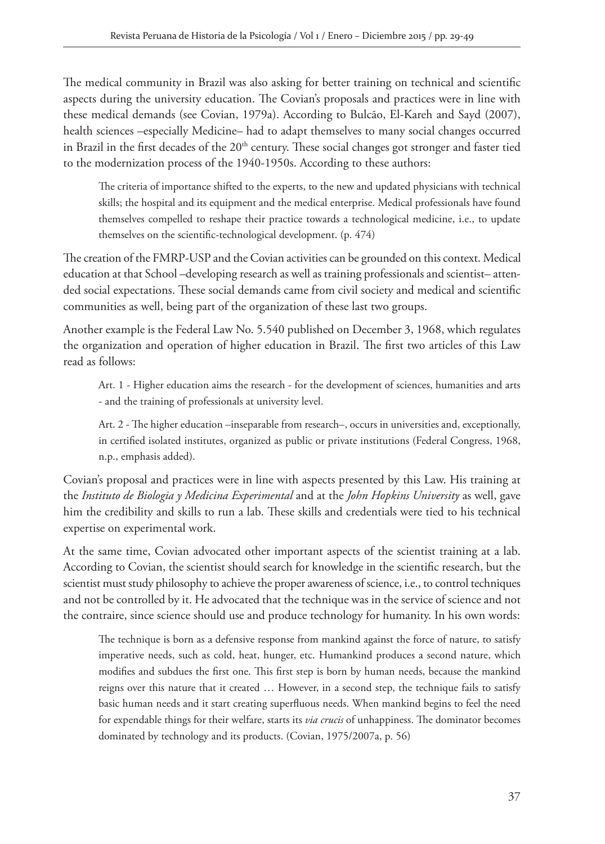The medical community in Brazil was also asking for better training on technical and scientific aspects during the university education. The Covian's proposals and practices were in line with these medical demands (see Covian, 1979a). According to Bulcão, El-Kareh and Sayd (2007), health sciences –especially Medicine– had to adapt themselves to many social changes occurred in Brazil in the first decades of the  $20<sup>th</sup>$  century. These social changes got stronger and faster tied to the modernization process of the 1940-1950s. According to these authors:

The criteria of importance shifted to the experts, to the new and updated physicians with technical skills; the hospital and its equipment and the medical enterprise. Medical professionals have found themselves compelled to reshape their practice towards a technological medicine, i.e., to update themselves on the scientific-technological development. (p. 474)

The creation of the FMRP-USP and the Covian activities can be grounded on this context. Medical education at that School –developing research as well as training professionals and scientist– attended social expectations. These social demands came from civil society and medical and scientific communities as well, being part of the organization of these last two groups.

Another example is the Federal Law No. 5.540 published on December 3, 1968, which regulates the organization and operation of higher education in Brazil. The first two articles of this Law read as follows:

Art. 1 - Higher education aims the research - for the development of sciences, humanities and arts - and the training of professionals at university level.

Art. 2 - The higher education –inseparable from research–, occurs in universities and, exceptionally, in certified isolated institutes, organized as public or private institutions (Federal Congress, 1968, n.p., emphasis added).

Covian's proposal and practices were in line with aspects presented by this Law. His training at the *Instituto de Biologia y Medicina Experimental* and at the *John Hopkins University* as well, gave him the credibility and skills to run a lab. These skills and credentials were tied to his technical expertise on experimental work.

At the same time, Covian advocated other important aspects of the scientist training at a lab. According to Covian, the scientist should search for knowledge in the scientific research, but the scientist must study philosophy to achieve the proper awareness of science, i.e., to control techniques and not be controlled by it. He advocated that the technique was in the service of science and not the contraire, since science should use and produce technology for humanity. In his own words:

The technique is born as a defensive response from mankind against the force of nature, to satisfy imperative needs, such as cold, heat, hunger, etc. Humankind produces a second nature, which modifies and subdues the first one. This first step is born by human needs, because the mankind reigns over this nature that it created … However, in a second step, the technique fails to satisfy basic human needs and it start creating superfluous needs. When mankind begins to feel the need for expendable things for their welfare, starts its *via crucis* of unhappiness. The dominator becomes dominated by technology and its products. (Covian, 1975/2007a, p. 56)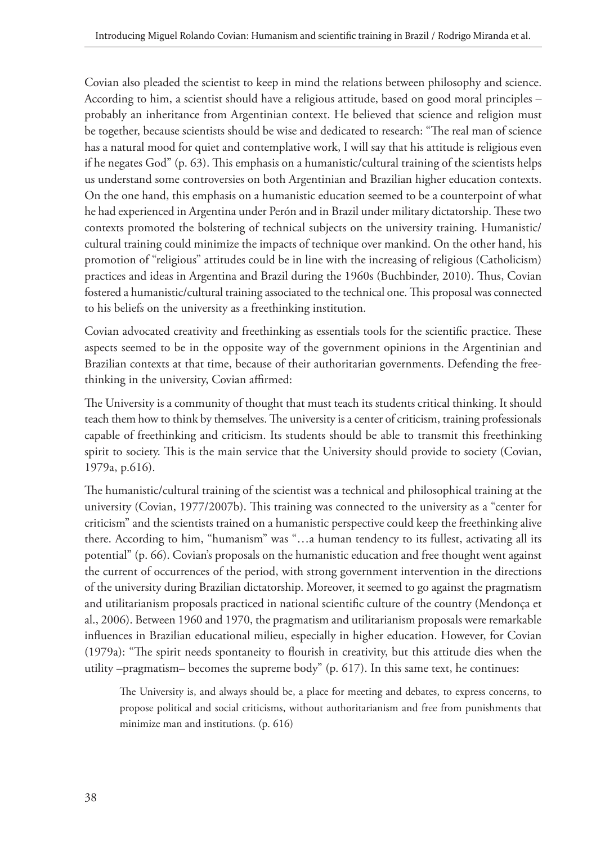Covian also pleaded the scientist to keep in mind the relations between philosophy and science. According to him, a scientist should have a religious attitude, based on good moral principles – probably an inheritance from Argentinian context. He believed that science and religion must be together, because scientists should be wise and dedicated to research: "The real man of science has a natural mood for quiet and contemplative work, I will say that his attitude is religious even if he negates God" (p. 63). This emphasis on a humanistic/cultural training of the scientists helps us understand some controversies on both Argentinian and Brazilian higher education contexts. On the one hand, this emphasis on a humanistic education seemed to be a counterpoint of what he had experienced in Argentina under Perón and in Brazil under military dictatorship. These two contexts promoted the bolstering of technical subjects on the university training. Humanistic/ cultural training could minimize the impacts of technique over mankind. On the other hand, his promotion of "religious" attitudes could be in line with the increasing of religious (Catholicism) practices and ideas in Argentina and Brazil during the 1960s (Buchbinder, 2010). Thus, Covian fostered a humanistic/cultural training associated to the technical one. This proposal was connected to his beliefs on the university as a freethinking institution.

Covian advocated creativity and freethinking as essentials tools for the scientific practice. These aspects seemed to be in the opposite way of the government opinions in the Argentinian and Brazilian contexts at that time, because of their authoritarian governments. Defending the freethinking in the university, Covian affirmed:

The University is a community of thought that must teach its students critical thinking. It should teach them how to think by themselves. The university is a center of criticism, training professionals capable of freethinking and criticism. Its students should be able to transmit this freethinking spirit to society. This is the main service that the University should provide to society (Covian, 1979a, p.616).

The humanistic/cultural training of the scientist was a technical and philosophical training at the university (Covian, 1977/2007b). This training was connected to the university as a "center for criticism" and the scientists trained on a humanistic perspective could keep the freethinking alive there. According to him, "humanism" was "…a human tendency to its fullest, activating all its potential" (p. 66). Covian's proposals on the humanistic education and free thought went against the current of occurrences of the period, with strong government intervention in the directions of the university during Brazilian dictatorship. Moreover, it seemed to go against the pragmatism and utilitarianism proposals practiced in national scientific culture of the country (Mendonça et al., 2006). Between 1960 and 1970, the pragmatism and utilitarianism proposals were remarkable influences in Brazilian educational milieu, especially in higher education. However, for Covian (1979a): "The spirit needs spontaneity to flourish in creativity, but this attitude dies when the utility –pragmatism– becomes the supreme body" (p. 617). In this same text, he continues:

The University is, and always should be, a place for meeting and debates, to express concerns, to propose political and social criticisms, without authoritarianism and free from punishments that minimize man and institutions. (p. 616)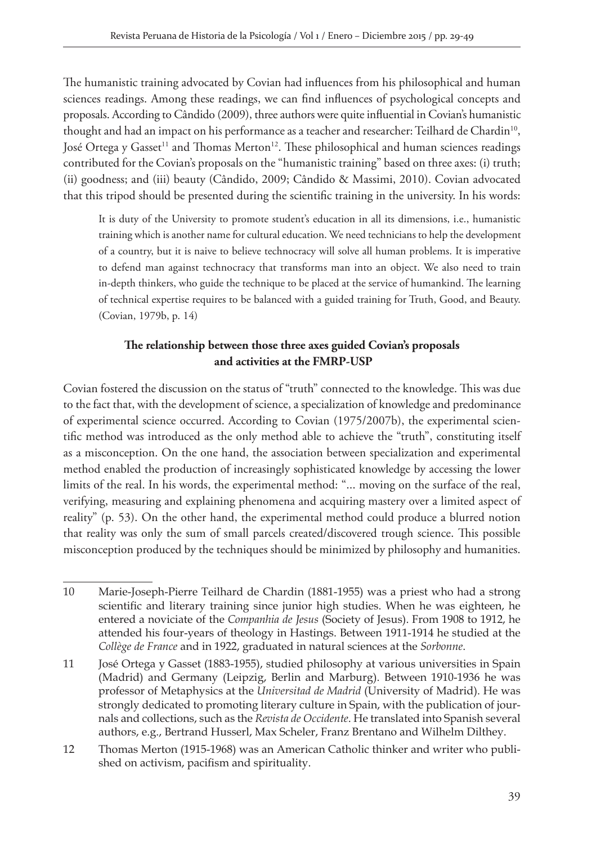The humanistic training advocated by Covian had influences from his philosophical and human sciences readings. Among these readings, we can find influences of psychological concepts and proposals. According to Cândido (2009), three authors were quite influential in Covian's humanistic thought and had an impact on his performance as a teacher and researcher: Teilhard de Chardin<sup>10</sup>, José Ortega y Gasset<sup>11</sup> and Thomas Merton<sup>12</sup>. These philosophical and human sciences readings contributed for the Covian's proposals on the "humanistic training" based on three axes: (i) truth; (ii) goodness; and (iii) beauty (Cândido, 2009; Cândido & Massimi, 2010). Covian advocated that this tripod should be presented during the scientific training in the university. In his words:

It is duty of the University to promote student's education in all its dimensions, i.e., humanistic training which is another name for cultural education. We need technicians to help the development of a country, but it is naive to believe technocracy will solve all human problems. It is imperative to defend man against technocracy that transforms man into an object. We also need to train in-depth thinkers, who guide the technique to be placed at the service of humankind. The learning of technical expertise requires to be balanced with a guided training for Truth, Good, and Beauty. (Covian, 1979b, p. 14)

## **The relationship between those three axes guided Covian's proposals and activities at the FMRP-USP**

Covian fostered the discussion on the status of "truth" connected to the knowledge. This was due to the fact that, with the development of science, a specialization of knowledge and predominance of experimental science occurred. According to Covian (1975/2007b), the experimental scientific method was introduced as the only method able to achieve the "truth", constituting itself as a misconception. On the one hand, the association between specialization and experimental method enabled the production of increasingly sophisticated knowledge by accessing the lower limits of the real. In his words, the experimental method: "... moving on the surface of the real, verifying, measuring and explaining phenomena and acquiring mastery over a limited aspect of reality" (p. 53). On the other hand, the experimental method could produce a blurred notion that reality was only the sum of small parcels created/discovered trough science. This possible misconception produced by the techniques should be minimized by philosophy and humanities.

11 José Ortega y Gasset (1883-1955), studied philosophy at various universities in Spain (Madrid) and Germany (Leipzig, Berlin and Marburg). Between 1910-1936 he was professor of Metaphysics at the *Universitad de Madrid* (University of Madrid). He was strongly dedicated to promoting literary culture in Spain, with the publication of journals and collections, such as the *Revista de Occidente*. He translated into Spanish several authors, e.g., Bertrand Husserl, Max Scheler, Franz Brentano and Wilhelm Dilthey.

<sup>10</sup> Marie-Joseph-Pierre Teilhard de Chardin (1881-1955) was a priest who had a strong scientific and literary training since junior high studies. When he was eighteen, he entered a noviciate of the *Companhia de Jesus* (Society of Jesus). From 1908 to 1912, he attended his four-years of theology in Hastings. Between 1911-1914 he studied at the *Collège de France* and in 1922, graduated in natural sciences at the *Sorbonne*.

<sup>12</sup> Thomas Merton (1915-1968) was an American Catholic thinker and writer who published on activism, pacifism and spirituality.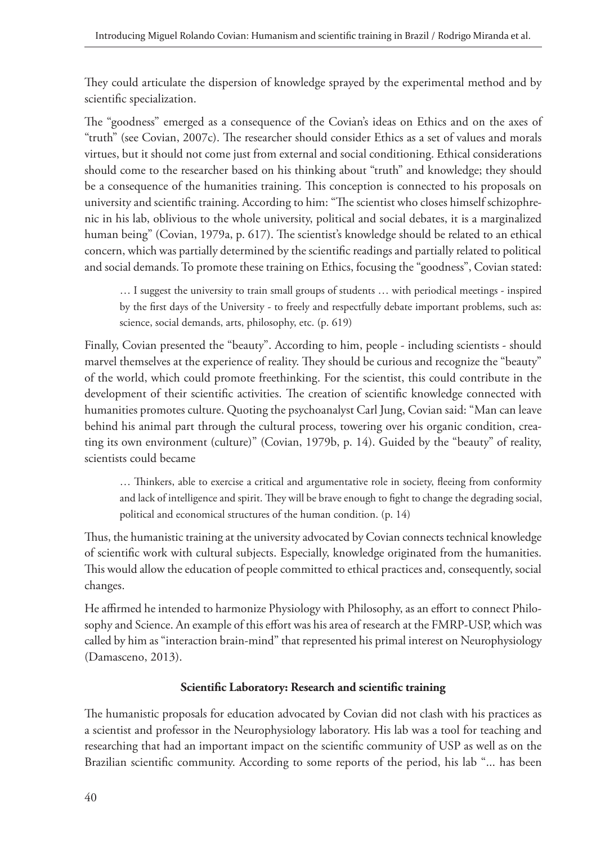They could articulate the dispersion of knowledge sprayed by the experimental method and by scientific specialization.

The "goodness" emerged as a consequence of the Covian's ideas on Ethics and on the axes of "truth" (see Covian, 2007c). The researcher should consider Ethics as a set of values and morals virtues, but it should not come just from external and social conditioning. Ethical considerations should come to the researcher based on his thinking about "truth" and knowledge; they should be a consequence of the humanities training. This conception is connected to his proposals on university and scientific training. According to him: "The scientist who closes himself schizophrenic in his lab, oblivious to the whole university, political and social debates, it is a marginalized human being" (Covian, 1979a, p. 617). The scientist's knowledge should be related to an ethical concern, which was partially determined by the scientific readings and partially related to political and social demands. To promote these training on Ethics, focusing the "goodness", Covian stated:

… I suggest the university to train small groups of students … with periodical meetings - inspired by the first days of the University - to freely and respectfully debate important problems, such as: science, social demands, arts, philosophy, etc. (p. 619)

Finally, Covian presented the "beauty". According to him, people - including scientists - should marvel themselves at the experience of reality. They should be curious and recognize the "beauty" of the world, which could promote freethinking. For the scientist, this could contribute in the development of their scientific activities. The creation of scientific knowledge connected with humanities promotes culture. Quoting the psychoanalyst Carl Jung, Covian said: "Man can leave behind his animal part through the cultural process, towering over his organic condition, creating its own environment (culture)" (Covian, 1979b, p. 14). Guided by the "beauty" of reality, scientists could became

… Thinkers, able to exercise a critical and argumentative role in society, fleeing from conformity and lack of intelligence and spirit. They will be brave enough to fight to change the degrading social, political and economical structures of the human condition. (p. 14)

Thus, the humanistic training at the university advocated by Covian connects technical knowledge of scientific work with cultural subjects. Especially, knowledge originated from the humanities. This would allow the education of people committed to ethical practices and, consequently, social changes.

He affirmed he intended to harmonize Physiology with Philosophy, as an effort to connect Philosophy and Science. An example of this effort was his area of research at the FMRP-USP, which was called by him as "interaction brain-mind" that represented his primal interest on Neurophysiology (Damasceno, 2013).

## **Scientific Laboratory: Research and scientific training**

The humanistic proposals for education advocated by Covian did not clash with his practices as a scientist and professor in the Neurophysiology laboratory. His lab was a tool for teaching and researching that had an important impact on the scientific community of USP as well as on the Brazilian scientific community. According to some reports of the period, his lab "... has been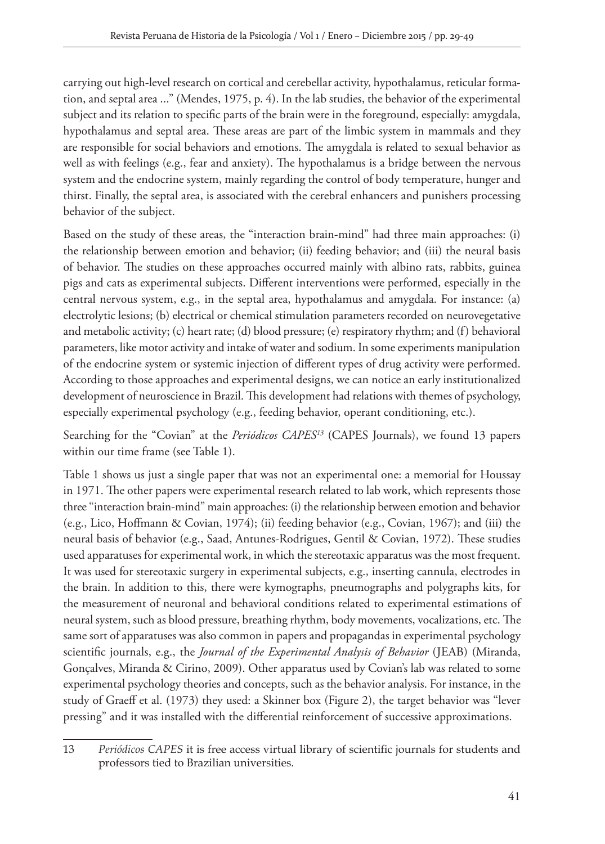carrying out high-level research on cortical and cerebellar activity, hypothalamus, reticular formation, and septal area ..." (Mendes, 1975, p. 4). In the lab studies, the behavior of the experimental subject and its relation to specific parts of the brain were in the foreground, especially: amygdala, hypothalamus and septal area. These areas are part of the limbic system in mammals and they are responsible for social behaviors and emotions. The amygdala is related to sexual behavior as well as with feelings (e.g., fear and anxiety). The hypothalamus is a bridge between the nervous system and the endocrine system, mainly regarding the control of body temperature, hunger and thirst. Finally, the septal area, is associated with the cerebral enhancers and punishers processing behavior of the subject.

Based on the study of these areas, the "interaction brain-mind" had three main approaches: (i) the relationship between emotion and behavior; (ii) feeding behavior; and (iii) the neural basis of behavior. The studies on these approaches occurred mainly with albino rats, rabbits, guinea pigs and cats as experimental subjects. Different interventions were performed, especially in the central nervous system, e.g., in the septal area, hypothalamus and amygdala. For instance: (a) electrolytic lesions; (b) electrical or chemical stimulation parameters recorded on neurovegetative and metabolic activity; (c) heart rate; (d) blood pressure; (e) respiratory rhythm; and (f) behavioral parameters, like motor activity and intake of water and sodium. In some experiments manipulation of the endocrine system or systemic injection of different types of drug activity were performed. According to those approaches and experimental designs, we can notice an early institutionalized development of neuroscience in Brazil. This development had relations with themes of psychology, especially experimental psychology (e.g., feeding behavior, operant conditioning, etc.).

Searching for the "Covian" at the *Periódicos CAPES13* (CAPES Journals), we found 13 papers within our time frame (see Table 1).

Table 1 shows us just a single paper that was not an experimental one: a memorial for Houssay in 1971. The other papers were experimental research related to lab work, which represents those three "interaction brain-mind" main approaches: (i) the relationship between emotion and behavior (e.g., Lico, Hoffmann & Covian, 1974); (ii) feeding behavior (e.g., Covian, 1967); and (iii) the neural basis of behavior (e.g., Saad, Antunes-Rodrigues, Gentil & Covian, 1972). These studies used apparatuses for experimental work, in which the stereotaxic apparatus was the most frequent. It was used for stereotaxic surgery in experimental subjects, e.g., inserting cannula, electrodes in the brain. In addition to this, there were kymographs, pneumographs and polygraphs kits, for the measurement of neuronal and behavioral conditions related to experimental estimations of neural system, such as blood pressure, breathing rhythm, body movements, vocalizations, etc. The same sort of apparatuses was also common in papers and propagandas in experimental psychology scientific journals, e.g., the *Journal of the Experimental Analysis of Behavior* (JEAB) (Miranda, Gonçalves, Miranda & Cirino, 2009). Other apparatus used by Covian's lab was related to some experimental psychology theories and concepts, such as the behavior analysis. For instance, in the study of Graeff et al. (1973) they used: a Skinner box (Figure 2), the target behavior was "lever pressing" and it was installed with the differential reinforcement of successive approximations.

<sup>13</sup> *Periódicos CAPES* it is free access virtual library of scientific journals for students and professors tied to Brazilian universities.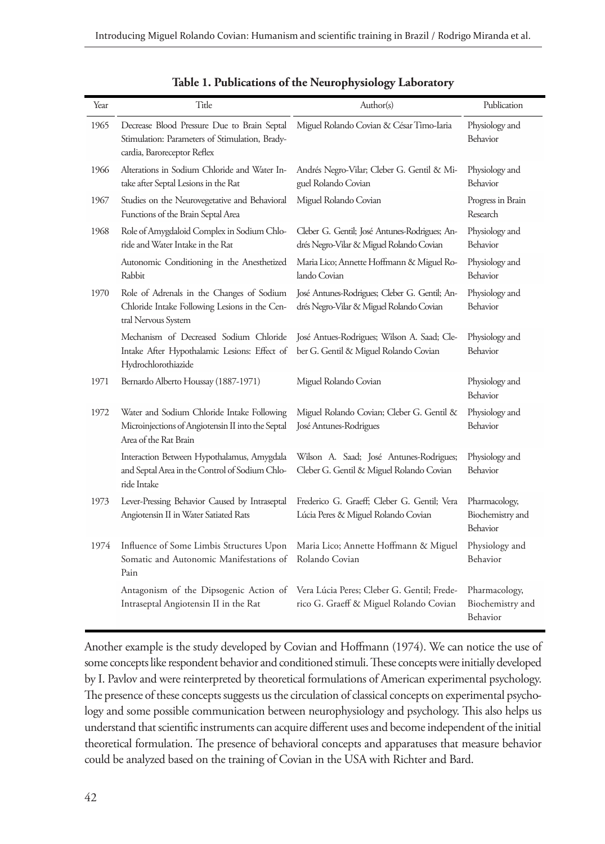| Year | Title                                                                                                                        | Author(s)                                                                                 | Publication                                   |
|------|------------------------------------------------------------------------------------------------------------------------------|-------------------------------------------------------------------------------------------|-----------------------------------------------|
| 1965 | Decrease Blood Pressure Due to Brain Septal<br>Stimulation: Parameters of Stimulation, Brady-<br>cardia, Baroreceptor Reflex | Miguel Rolando Covian & César Timo-Iaria                                                  | Physiology and<br>Behavior                    |
| 1966 | Alterations in Sodium Chloride and Water In-<br>take after Septal Lesions in the Rat                                         | Andrés Negro-Vilar; Cleber G. Gentil & Mi-<br>guel Rolando Covian                         | Physiology and<br>Behavior                    |
| 1967 | Studies on the Neurovegetative and Behavioral<br>Functions of the Brain Septal Area                                          | Miguel Rolando Covian                                                                     | Progress in Brain<br>Research                 |
| 1968 | Role of Amygdaloid Complex in Sodium Chlo-<br>ride and Water Intake in the Rat                                               | Cleber G. Gentil; José Antunes-Rodrigues; An-<br>drés Negro-Vilar & Miguel Rolando Covian | Physiology and<br>Behavior                    |
|      | Autonomic Conditioning in the Anesthetized<br>Rabbit                                                                         | Maria Lico; Annette Hoffmann & Miguel Ro-<br>lando Covian                                 | Physiology and<br>Behavior                    |
| 1970 | Role of Adrenals in the Changes of Sodium<br>Chloride Intake Following Lesions in the Cen-<br>tral Nervous System            | José Antunes-Rodrigues; Cleber G. Gentil; An-<br>drés Negro-Vilar & Miguel Rolando Covian | Physiology and<br>Behavior                    |
|      | Mechanism of Decreased Sodium Chloride<br>Intake After Hypothalamic Lesions: Effect of<br>Hydrochlorothiazide                | José Antues-Rodrigues; Wilson A. Saad; Cle-<br>ber G. Gentil & Miguel Rolando Covian      | Physiology and<br>Behavior                    |
| 1971 | Bernardo Alberto Houssay (1887-1971)                                                                                         | Miguel Rolando Covian                                                                     | Physiology and<br>Behavior                    |
| 1972 | Water and Sodium Chloride Intake Following<br>Microinjections of Angiotensin II into the Septal<br>Area of the Rat Brain     | Miguel Rolando Covian; Cleber G. Gentil &<br>José Antunes-Rodrigues                       | Physiology and<br>Behavior                    |
|      | Interaction Between Hypothalamus, Amygdala<br>and Septal Area in the Control of Sodium Chlo-<br>ride Intake                  | Wilson A. Saad; José Antunes-Rodrigues;<br>Cleber G. Gentil & Miguel Rolando Covian       | Physiology and<br>Behavior                    |
| 1973 | Lever-Pressing Behavior Caused by Intraseptal<br>Angiotensin II in Water Satiated Rats                                       | Frederico G. Graeff; Cleber G. Gentil; Vera<br>Lúcia Peres & Miguel Rolando Covian        | Pharmacology,<br>Biochemistry and<br>Behavior |
| 1974 | Influence of Some Limbis Structures Upon<br>Somatic and Autonomic Manifestations of<br>Pain                                  | Maria Lico; Annette Hoffmann & Miguel<br>Rolando Covian                                   | Physiology and<br>Behavior                    |
|      | Antagonism of the Dipsogenic Action of<br>Intraseptal Angiotensin II in the Rat                                              | Vera Lúcia Peres; Cleber G. Gentil; Frede-<br>rico G. Graeff & Miguel Rolando Covian      | Pharmacology,<br>Biochemistry and<br>Behavior |

|  |  |  |  |  |  |  |  |  |  | Table 1. Publications of the Neurophysiology Laboratory |  |
|--|--|--|--|--|--|--|--|--|--|---------------------------------------------------------|--|
|--|--|--|--|--|--|--|--|--|--|---------------------------------------------------------|--|

Another example is the study developed by Covian and Hoffmann (1974). We can notice the use of some concepts like respondent behavior and conditioned stimuli. These concepts were initially developed by I. Pavlov and were reinterpreted by theoretical formulations of American experimental psychology. The presence of these concepts suggests us the circulation of classical concepts on experimental psychology and some possible communication between neurophysiology and psychology. This also helps us understand that scientific instruments can acquire different uses and become independent of the initial theoretical formulation. The presence of behavioral concepts and apparatuses that measure behavior could be analyzed based on the training of Covian in the USA with Richter and Bard.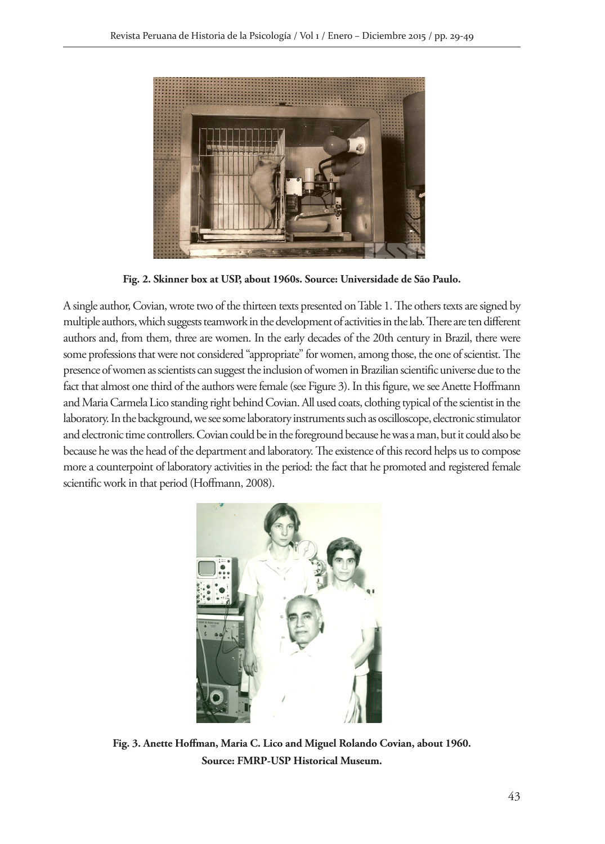

**Fig. 2. Skinner box at USP, about 1960s. Source: Universidade de São Paulo.**

A single author, Covian, wrote two of the thirteen texts presented on Table 1. The others texts are signed by multiple authors, which suggests teamwork in the development of activities in the lab. There are ten different authors and, from them, three are women. In the early decades of the 20th century in Brazil, there were some professions that were not considered "appropriate" for women, among those, the one of scientist. The presence of women as scientists can suggest the inclusion of women in Brazilian scientific universe due to the fact that almost one third of the authors were female (see Figure 3). In this figure, we see Anette Hoffmann and Maria Carmela Lico standing right behind Covian. All used coats, clothing typical of the scientist in the laboratory. In the background, we see some laboratory instruments such as oscilloscope, electronic stimulator and electronic time controllers. Covian could be in the foreground because he was a man, but it could also be because he was the head of the department and laboratory. The existence of this record helps us to compose more a counterpoint of laboratory activities in the period: the fact that he promoted and registered female scientific work in that period (Hoffmann, 2008).



**Fig. 3. Anette Hoffman, Maria C. Lico and Miguel Rolando Covian, about 1960. Source: FMRP-USP Historical Museum.**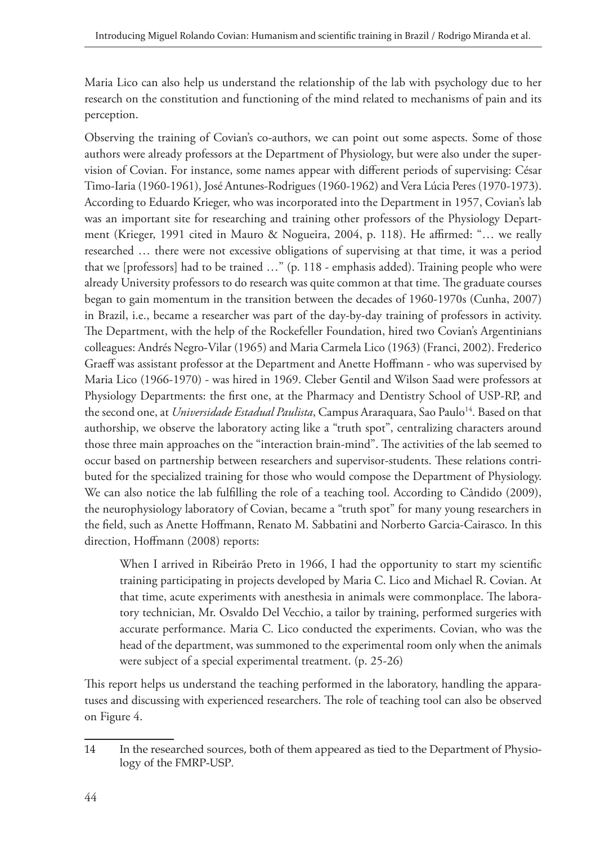Maria Lico can also help us understand the relationship of the lab with psychology due to her research on the constitution and functioning of the mind related to mechanisms of pain and its perception.

Observing the training of Covian's co-authors, we can point out some aspects. Some of those authors were already professors at the Department of Physiology, but were also under the supervision of Covian. For instance, some names appear with different periods of supervising: César Timo-Iaria (1960-1961), José Antunes-Rodrigues (1960-1962) and Vera Lúcia Peres (1970-1973). According to Eduardo Krieger, who was incorporated into the Department in 1957, Covian's lab was an important site for researching and training other professors of the Physiology Department (Krieger, 1991 cited in Mauro & Nogueira, 2004, p. 118). He affirmed: "… we really researched … there were not excessive obligations of supervising at that time, it was a period that we [professors] had to be trained …" (p. 118 - emphasis added). Training people who were already University professors to do research was quite common at that time. The graduate courses began to gain momentum in the transition between the decades of 1960-1970s (Cunha, 2007) in Brazil, i.e., became a researcher was part of the day-by-day training of professors in activity. The Department, with the help of the Rockefeller Foundation, hired two Covian's Argentinians colleagues: Andrés Negro-Vilar (1965) and Maria Carmela Lico (1963) (Franci, 2002). Frederico Graeff was assistant professor at the Department and Anette Hoffmann - who was supervised by Maria Lico (1966-1970) - was hired in 1969. Cleber Gentil and Wilson Saad were professors at Physiology Departments: the first one, at the Pharmacy and Dentistry School of USP-RP, and the second one, at *Universidade Estadual Paulista*, Campus Araraquara, Sao Paulo<sup>14</sup>. Based on that authorship, we observe the laboratory acting like a "truth spot", centralizing characters around those three main approaches on the "interaction brain-mind". The activities of the lab seemed to occur based on partnership between researchers and supervisor-students. These relations contributed for the specialized training for those who would compose the Department of Physiology. We can also notice the lab fulfilling the role of a teaching tool. According to Cândido (2009), the neurophysiology laboratory of Covian, became a "truth spot" for many young researchers in the field, such as Anette Hoffmann, Renato M. Sabbatini and Norberto Garcia-Cairasco. In this direction, Hoffmann (2008) reports:

When I arrived in Ribeirão Preto in 1966, I had the opportunity to start my scientific training participating in projects developed by Maria C. Lico and Michael R. Covian. At that time, acute experiments with anesthesia in animals were commonplace. The laboratory technician, Mr. Osvaldo Del Vecchio, a tailor by training, performed surgeries with accurate performance. Maria C. Lico conducted the experiments. Covian, who was the head of the department, was summoned to the experimental room only when the animals were subject of a special experimental treatment. (p. 25-26)

This report helps us understand the teaching performed in the laboratory, handling the apparatuses and discussing with experienced researchers. The role of teaching tool can also be observed on Figure 4.

<sup>14</sup> In the researched sources, both of them appeared as tied to the Department of Physiology of the FMRP-USP.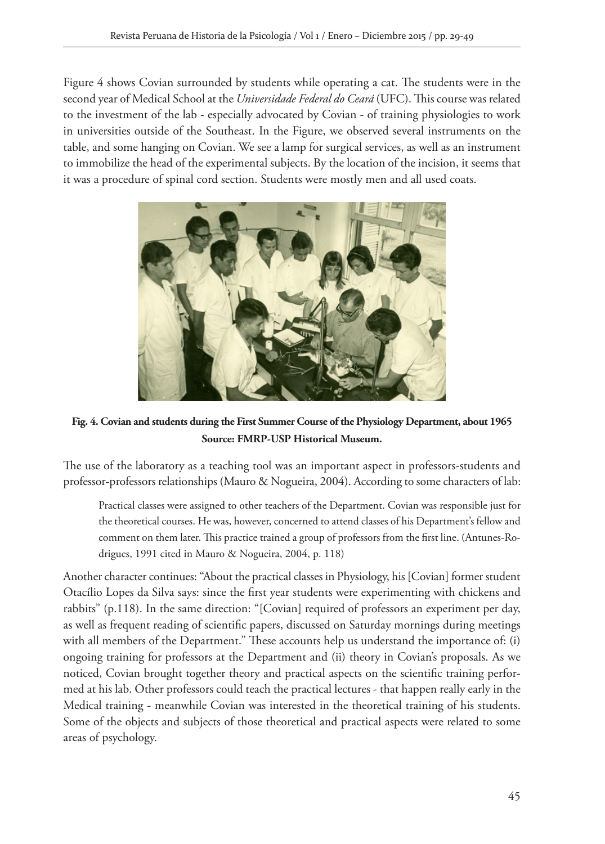Figure 4 shows Covian surrounded by students while operating a cat. The students were in the second year of Medical School at the *Universidade Federal do Ceará* (UFC). This course was related to the investment of the lab - especially advocated by Covian - of training physiologies to work in universities outside of the Southeast. In the Figure, we observed several instruments on the table, and some hanging on Covian. We see a lamp for surgical services, as well as an instrument to immobilize the head of the experimental subjects. By the location of the incision, it seems that it was a procedure of spinal cord section. Students were mostly men and all used coats.



**Fig. 4. Covian and students during the First Summer Course of the Physiology Department, about 1965 Source: FMRP-USP Historical Museum.**

The use of the laboratory as a teaching tool was an important aspect in professors-students and professor-professors relationships (Mauro & Nogueira, 2004). According to some characters of lab:

Practical classes were assigned to other teachers of the Department. Covian was responsible just for the theoretical courses. He was, however, concerned to attend classes of his Department's fellow and comment on them later. This practice trained a group of professors from the first line. (Antunes-Rodrigues, 1991 cited in Mauro & Nogueira, 2004, p. 118)

Another character continues: "About the practical classes in Physiology, his [Covian] former student Otacílio Lopes da Silva says: since the first year students were experimenting with chickens and rabbits" (p.118). In the same direction: "[Covian] required of professors an experiment per day, as well as frequent reading of scientific papers, discussed on Saturday mornings during meetings with all members of the Department." These accounts help us understand the importance of: (i) ongoing training for professors at the Department and (ii) theory in Covian's proposals. As we noticed, Covian brought together theory and practical aspects on the scientific training performed at his lab. Other professors could teach the practical lectures - that happen really early in the Medical training - meanwhile Covian was interested in the theoretical training of his students. Some of the objects and subjects of those theoretical and practical aspects were related to some areas of psychology.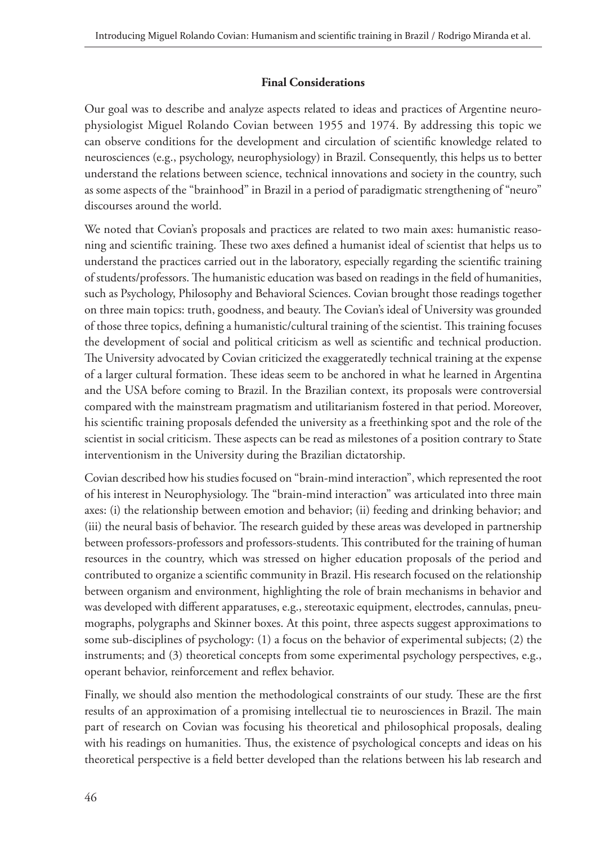#### **Final Considerations**

Our goal was to describe and analyze aspects related to ideas and practices of Argentine neurophysiologist Miguel Rolando Covian between 1955 and 1974. By addressing this topic we can observe conditions for the development and circulation of scientific knowledge related to neurosciences (e.g., psychology, neurophysiology) in Brazil. Consequently, this helps us to better understand the relations between science, technical innovations and society in the country, such as some aspects of the "brainhood" in Brazil in a period of paradigmatic strengthening of "neuro" discourses around the world.

We noted that Covian's proposals and practices are related to two main axes: humanistic reasoning and scientific training. These two axes defined a humanist ideal of scientist that helps us to understand the practices carried out in the laboratory, especially regarding the scientific training of students/professors. The humanistic education was based on readings in the field of humanities, such as Psychology, Philosophy and Behavioral Sciences. Covian brought those readings together on three main topics: truth, goodness, and beauty. The Covian's ideal of University was grounded of those three topics, defining a humanistic/cultural training of the scientist. This training focuses the development of social and political criticism as well as scientific and technical production. The University advocated by Covian criticized the exaggeratedly technical training at the expense of a larger cultural formation. These ideas seem to be anchored in what he learned in Argentina and the USA before coming to Brazil. In the Brazilian context, its proposals were controversial compared with the mainstream pragmatism and utilitarianism fostered in that period. Moreover, his scientific training proposals defended the university as a freethinking spot and the role of the scientist in social criticism. These aspects can be read as milestones of a position contrary to State interventionism in the University during the Brazilian dictatorship.

Covian described how his studies focused on "brain-mind interaction", which represented the root of his interest in Neurophysiology. The "brain-mind interaction" was articulated into three main axes: (i) the relationship between emotion and behavior; (ii) feeding and drinking behavior; and (iii) the neural basis of behavior. The research guided by these areas was developed in partnership between professors-professors and professors-students. This contributed for the training of human resources in the country, which was stressed on higher education proposals of the period and contributed to organize a scientific community in Brazil. His research focused on the relationship between organism and environment, highlighting the role of brain mechanisms in behavior and was developed with different apparatuses, e.g., stereotaxic equipment, electrodes, cannulas, pneumographs, polygraphs and Skinner boxes. At this point, three aspects suggest approximations to some sub-disciplines of psychology: (1) a focus on the behavior of experimental subjects; (2) the instruments; and (3) theoretical concepts from some experimental psychology perspectives, e.g., operant behavior, reinforcement and reflex behavior.

Finally, we should also mention the methodological constraints of our study. These are the first results of an approximation of a promising intellectual tie to neurosciences in Brazil. The main part of research on Covian was focusing his theoretical and philosophical proposals, dealing with his readings on humanities. Thus, the existence of psychological concepts and ideas on his theoretical perspective is a field better developed than the relations between his lab research and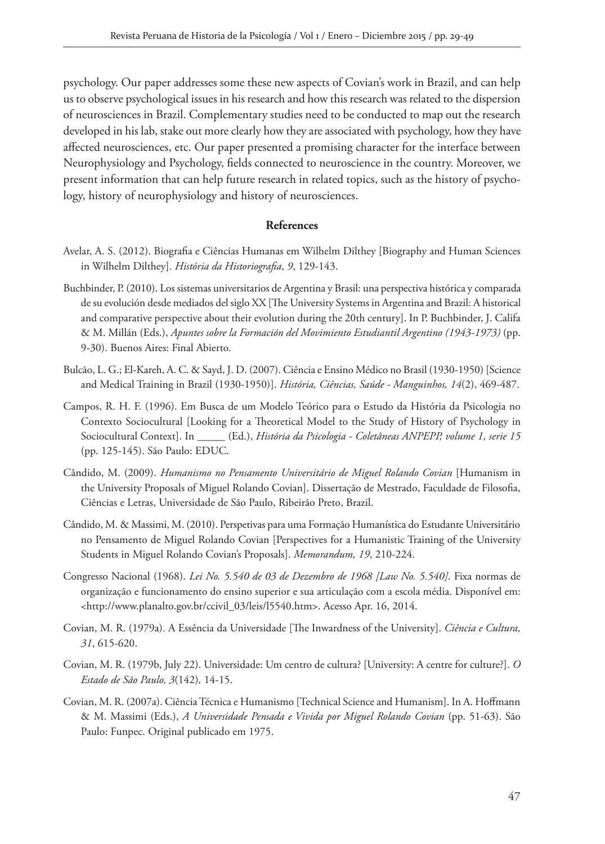psychology. Our paper addresses some these new aspects of Covian's work in Brazil, and can help us to observe psychological issues in his research and how this research was related to the dispersion of neurosciences in Brazil. Complementary studies need to be conducted to map out the research developed in his lab, stake out more clearly how they are associated with psychology, how they have affected neurosciences, etc. Our paper presented a promising character for the interface between Neurophysiology and Psychology, fields connected to neuroscience in the country. Moreover, we present information that can help future research in related topics, such as the history of psychology, history of neurophysiology and history of neurosciences.

#### **References**

- Avelar, A. S. (2012). Biografia e Ciências Humanas em Wilhelm Dilthey [Biography and Human Sciences in Wilhelm Dilthey]. *História da Historiografia*, *9*, 129-143.
- Buchbinder, P. (2010). Los sistemas universitarios de Argentina y Brasil: una perspectiva histórica y comparada de su evolución desde mediados del siglo XX [The University Systems in Argentina and Brazil: A historical and comparative perspective about their evolution during the 20th century]. In P. Buchbinder, J. Califa & M. Millán (Eds.), *Apuntes sobre la Formación del Movimiento Estudiantil Argentino (1943-1973)* (pp. 9-30). Buenos Aires: Final Abierto.
- Bulcão, L. G.; El-Kareh, A. C. & Sayd, J. D. (2007). Ciência e Ensino Médico no Brasil (1930-1950) [Science and Medical Training in Brazil (1930-1950)]. *História, Ciências, Saúde - Manguinhos, 14*(2), 469-487.
- Campos, R. H. F. (1996). Em Busca de um Modelo Teórico para o Estudo da História da Psicologia no Contexto Sociocultural [Looking for a Theoretical Model to the Study of History of Psychology in Sociocultural Context]. In \_\_\_\_\_ (Ed.), *História da Psicologia - Coletâneas ANPEPP, volume 1, serie 15*  (pp. 125-145). São Paulo: EDUC.
- Cândido, M. (2009). *Humanismo no Pensamento Universitário de Miguel Rolando Covian* [Humanism in the University Proposals of Miguel Rolando Covian]. Dissertação de Mestrado, Faculdade de Filosofia, Ciências e Letras, Universidade de São Paulo, Ribeirão Preto, Brazil.
- Cândido, M. & Massimi, M. (2010). Perspetivas para uma Formação Humanística do Estudante Universitário no Pensamento de Miguel Rolando Covian [Perspectives for a Humanistic Training of the University Students in Miguel Rolando Covian's Proposals]. *Memorandum, 19*, 210-224.
- Congresso Nacional (1968). *Lei No. 5.540 de 03 de Dezembro de 1968 [Law No. 5.540]*. Fixa normas de organização e funcionamento do ensino superior e sua articulação com a escola média. Disponível em: <http://www.planalto.gov.br/ccivil\_03/leis/l5540.htm>. Acesso Apr. 16, 2014.
- Covian, M. R. (1979a). A Essência da Universidade [The Inwardness of the University]. *Ciência e Cultura, 31*, 615-620.
- Covian, M. R. (1979b, July 22). Universidade: Um centro de cultura? [University: A centre for culture?]. *O Estado de São Paulo, 3*(142)*,* 14-15.
- Covian, M. R. (2007a). Ciência Técnica e Humanismo [Technical Science and Humanism]. In A. Hoffmann & M. Massimi (Eds.), *A Universidade Pensada e Vivida por Miguel Rolando Covian* (pp. 51-63). São Paulo: Funpec. Original publicado em 1975.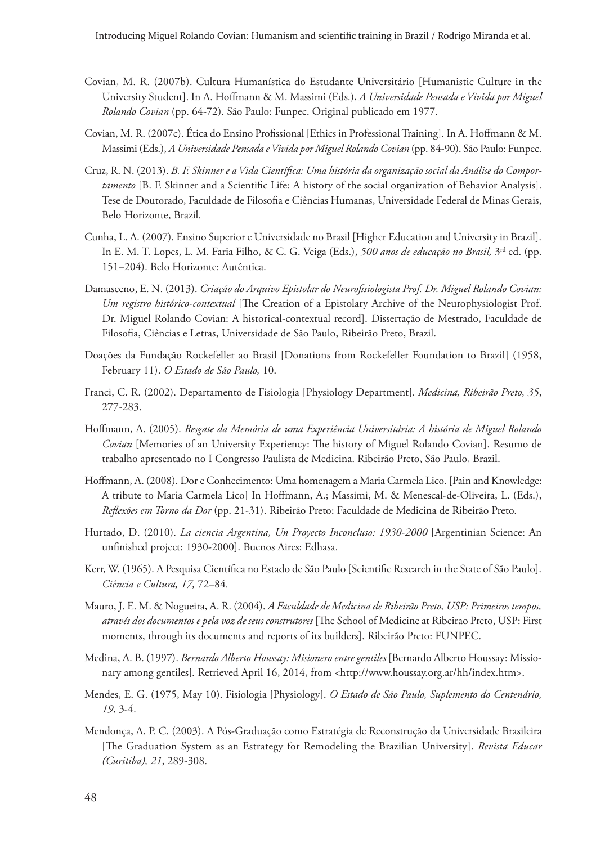- Covian, M. R. (2007b). Cultura Humanística do Estudante Universitário [Humanistic Culture in the University Student]. In A. Hoffmann & M. Massimi (Eds.), *A Universidade Pensada e Vivida por Miguel Rolando Covian* (pp. 64-72). São Paulo: Funpec. Original publicado em 1977.
- Covian, M. R. (2007c). Ética do Ensino Profissional [Ethics in Professional Training]. In A. Hoffmann & M. Massimi (Eds.), *A Universidade Pensada e Vivida por Miguel Rolando Covian* (pp. 84-90). São Paulo: Funpec.
- Cruz, R. N. (2013). *B. F. Skinner e a Vida Científica: Uma história da organização social da Análise do Comportamento* [B. F. Skinner and a Scientific Life: A history of the social organization of Behavior Analysis]. Tese de Doutorado, Faculdade de Filosofia e Ciências Humanas, Universidade Federal de Minas Gerais, Belo Horizonte, Brazil.
- Cunha, L. A. (2007). Ensino Superior e Universidade no Brasil [Higher Education and University in Brazil]. In E. M. T. Lopes, L. M. Faria Filho, & C. G. Veiga (Eds.), *500 anos de educação no Brasil,* 3rd ed. (pp. 151–204). Belo Horizonte: Autêntica.
- Damasceno, E. N. (2013). *Criação do Arquivo Epistolar do Neurofisiologista Prof. Dr. Miguel Rolando Covian: Um registro histórico-contextual* [The Creation of a Epistolary Archive of the Neurophysiologist Prof. Dr. Miguel Rolando Covian: A historical-contextual record]. Dissertação de Mestrado, Faculdade de Filosofia, Ciências e Letras, Universidade de São Paulo, Ribeirão Preto, Brazil.
- Doações da Fundação Rockefeller ao Brasil [Donations from Rockefeller Foundation to Brazil] (1958, February 11). *O Estado de São Paulo,* 10.
- Franci, C. R. (2002). Departamento de Fisiologia [Physiology Department]. *Medicina, Ribeirão Preto, 35*, 277-283.
- Hoffmann, A. (2005). *Resgate da Memória de uma Experiência Universitária: A história de Miguel Rolando Covian* [Memories of an University Experiency: The history of Miguel Rolando Covian]. Resumo de trabalho apresentado no I Congresso Paulista de Medicina. Ribeirão Preto, São Paulo, Brazil.
- Hoffmann, A. (2008). Dor e Conhecimento: Uma homenagem a Maria Carmela Lico. [Pain and Knowledge: A tribute to Maria Carmela Lico] In Hoffmann, A.; Massimi, M. & Menescal-de-Oliveira, L. (Eds.), *Reflexões em Torno da Dor* (pp. 21-31). Ribeirão Preto: Faculdade de Medicina de Ribeirão Preto.
- Hurtado, D. (2010). *La ciencia Argentina, Un Proyecto Inconcluso: 1930-2000* [Argentinian Science: An unfinished project: 1930-2000]. Buenos Aires: Edhasa.
- Kerr, W. (1965). A Pesquisa Científica no Estado de São Paulo [Scientific Research in the State of São Paulo]. *Ciência e Cultura, 17,* 72–84*.*
- Mauro, J. E. M. & Nogueira, A. R. (2004). *A Faculdade de Medicina de Ribeirão Preto, USP: Primeiros tempos, através dos documentos e pela voz de seus construtores* [The School of Medicine at Ribeirao Preto, USP: First moments, through its documents and reports of its builders]. Ribeirão Preto: FUNPEC.
- Medina, A. B. (1997). *Bernardo Alberto Houssay: Misionero entre gentiles* [Bernardo Alberto Houssay: Missionary among gentiles]*.* Retrieved April 16, 2014, from <http://www.houssay.org.ar/hh/index.htm>.
- Mendes, E. G. (1975, May 10). Fisiologia [Physiology]. *O Estado de São Paulo, Suplemento do Centenário, 19*, 3-4.
- Mendonça, A. P. C. (2003). A Pós-Graduação como Estratégia de Reconstrução da Universidade Brasileira [The Graduation System as an Estrategy for Remodeling the Brazilian University]. *Revista Educar (Curitiba), 21*, 289-308.